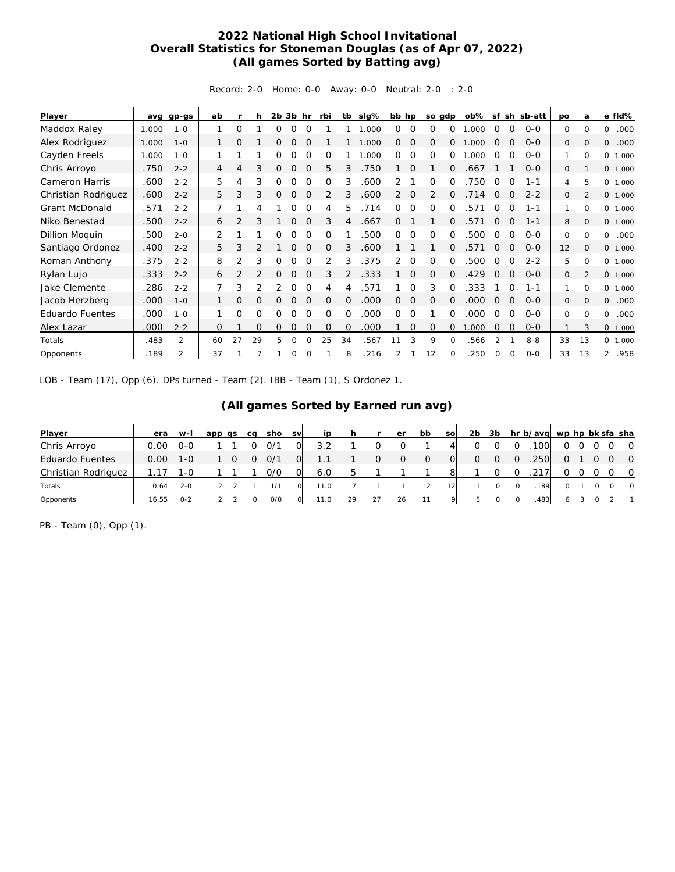## **2022 National High School Invitational Overall Statistics for Stoneman Douglas (as of Apr 07, 2022) (All games Sorted by Batting avg)**

Record: 2-0 Home: 0-0 Away: 0-0 Neutral: 2-0 : 2-0

| Player                 | ava   | $qp-gs$        | ab       |                | h        | 2 <sub>b</sub> | 3b       | hr       | rbi          | tb       | slg%  | bb hp          |              | so gdp   |          | $ob\%$ | sf            | sh             | sb-att  | po       | a              | e fld%                 |
|------------------------|-------|----------------|----------|----------------|----------|----------------|----------|----------|--------------|----------|-------|----------------|--------------|----------|----------|--------|---------------|----------------|---------|----------|----------------|------------------------|
| Maddox Raley           | 1.000 | $1 - 0$        |          | 0              |          | Ω              | Ω        | $\Omega$ |              |          | .000  | 0              | $\Omega$     | $\Omega$ | $\Omega$ | .000   | $\Omega$      | $\Omega$       | $0 - 0$ | 0        | $\Omega$       | 0<br>.000              |
| Alex Rodriguez         | 1.000 | $1 - 0$        |          | 0              |          | 0              | Ω        | $\Omega$ |              |          | 1.000 | $\overline{0}$ | O            | O        | $\circ$  | .000   | 0             | 0              | $0 - 0$ | 0        | 0              | .000<br>0              |
| Cayden Freels          | 1.000 | $1 - 0$        |          |                |          | 0              | Ω        | $\Omega$ | O            |          | .000  | 0              | 0            | $\Omega$ | 0        | .000   | 0             | $\Omega$       | $0 - 0$ |          | $\Omega$       | 0<br>1.000             |
| Chris Arroyo           | .750  | $2 - 2$        | 4        | 4              | 3        | 0              | $\Omega$ | $\Omega$ | 5            | 3        | .750  |                | $\Omega$     |          | 0        | .667   |               |                | $0 - 0$ | $\Omega$ |                | 0 1.000                |
| Cameron Harris         | .600  | $2 - 2$        | 5.       | 4              | 3        | 0              | $\Omega$ | $\Omega$ | $\Omega$     | 3        | .600  | $\overline{2}$ |              | $\Omega$ | $\Omega$ | 750    | $\Omega$      | $\Omega$       | $1 - 1$ | 4        | 5              | 0 1.000                |
| Christian Rodriguez    | .600  | $2 - 2$        | 5        | 3              | 3        | 0              | 0        | $\Omega$ | 2            | 3        | .600  | 2              | $\mathbf 0$  | 2        | $\Omega$ | .714   | $\Omega$      | $\overline{0}$ | $2 - 2$ | 0        | $\overline{2}$ | 0 1.000                |
| Grant McDonald         | .571  | $2 - 2$        |          |                | 4        |                | 0        | $\Omega$ | 4            | 5        | .714  | $\Omega$       | 0            | 0        | $\Omega$ | .571   | 0             | 0              | $1 - 1$ |          | 0              | 0 1.000                |
| Niko Benestad          | .500  | $2 - 2$        | 6        | 2              | 3        |                | 0        | $\Omega$ | 3            | 4        | .667  | $\Omega$       |              |          | 0        | .571   | 0             | $\Omega$       | $1 - 1$ | 8        | $\mathbf{O}$   | 0 1.000                |
| Dillion Moguin         | .500  | $2 - 0$        | 2        |                |          | Ω              | Ω        | $\Omega$ | 0            |          | .500  | $\Omega$       | $\Omega$     | $\Omega$ | $\Omega$ | .500   | $\Omega$      | $\Omega$       | $0 - 0$ | 0        | $\Omega$       | .000<br>0              |
| Santiago Ordonez       | .400  | $2 - 2$        | 5        | 3              |          |                | Ω        | $\Omega$ | O            | 3        | .600  |                |              |          | 0        | .571   | 0             | 0              | $0 - 0$ | 12       | $\mathbf{O}$   | 0 1.000                |
| Roman Anthony          | .375  | $2 - 2$        | 8        | 2              | 3        | 0              | Ω        | $\Omega$ |              | 3        | .375  | 2              | 0            | 0        | $\Omega$ | .500   | 0             | 0              | $2 - 2$ | 5        | $\Omega$       | 0 1.000                |
| Rylan Lujo             | .333  | $2 - 2$        | 6        | $\overline{2}$ |          | 0              | O        | $\Omega$ | 3            | 2        | .333  |                | $\mathbf 0$  | $\Omega$ | 0        | .429   | 0             | $\mathbf 0$    | $0 - 0$ | $\Omega$ |                | 0 1.000                |
| Jake Clemente          | .286  | $2 - 2$        |          | 3              |          | 2              | $\Omega$ | $\Omega$ | 4            | 4        | .571  |                | $\Omega$     | 3        | $\Omega$ | .333   |               | $\Omega$       | $1 - 1$ |          | $\Omega$       | 0 1.000                |
| Jacob Herzberg         | .000  | $1 - 0$        |          | 0              | 0        | 0              | $\Omega$ | $\Omega$ | $\Omega$     | $\Omega$ | .000  | $\circ$        | $\mathbf 0$  | 0        | $\Omega$ | .000   | 0             | 0              | $0 - 0$ | 0        | $\Omega$       | 0<br>.000              |
| <b>Eduardo Fuentes</b> | .000  | $1 - 0$        |          | 0              | 0        | 0              | Ω        | $\Omega$ | $\Omega$     | $\Omega$ | .000  | $\Omega$       | $\Omega$     |          | $\Omega$ | .000   | $\Omega$      | 0              | $0 - 0$ | 0        | $\Omega$       | .000<br>0              |
| Alex Lazar             | .000  | $2 - 2$        | $\Omega$ |                | $\Omega$ | 0              | O        | $\Omega$ | $\mathbf{O}$ | $\Omega$ | .000  |                | $\mathbf{O}$ | $\Omega$ | $\Omega$ | .000   | 0             | 0              | $0-0$   |          | 3              | 0 1.000                |
| Totals                 | .483  | $\mathfrak{D}$ | 60       | 27             | 29       | 5              | $\Omega$ | $\Omega$ | 25           | 34       | .567  | 11             | 3            | 9        | $\Omega$ | .566   | $\mathcal{P}$ |                | $8 - 8$ | 33       | 13             | 0 1.000                |
| Opponents              | .189  | $\overline{2}$ | 37       |                |          |                | 0        |          |              | 8        | .216  | 2              |              | 12       | $\Omega$ | .250   | 0             | $\mathbf 0$    | $O - O$ | 33       | 13             | .958<br>$\overline{2}$ |

LOB - Team (17), Opp (6). DPs turned - Team (2). IBB - Team (1), S Ordonez 1.

## **(All games Sorted by Earned run avg)**

| Player                 | era   | $W-I$   | app qs | ca | sho | <b>SV</b> | ip   |    |   | er | bb | <b>SO</b> | 2 <sub>b</sub> | 3b       | hr b/avg wp hp bk sfa sha |      |          |         |            |                |
|------------------------|-------|---------|--------|----|-----|-----------|------|----|---|----|----|-----------|----------------|----------|---------------------------|------|----------|---------|------------|----------------|
| Chris Arroyo           | 0.00  | O-O     |        |    | O/1 |           | 3.2  |    |   |    |    |           |                |          | 100                       |      | $\Omega$ |         |            | $\overline{0}$ |
| <b>Eduardo Fuentes</b> | 0.00  | 1-0     |        |    | 0/1 |           |      |    | Ω | 0  |    |           | O              | $\Omega$ | .250                      |      | 0        | $\circ$ |            | $\overline{0}$ |
| Christian Rodriguez    |       | 1-ດ     |        |    | 0/0 |           | 6.0  |    |   |    |    |           |                |          |                           |      |          |         | $0\quad 0$ |                |
| Totals                 | 0.64  | $2 - 0$ |        |    | 1/1 |           | 11.0 |    |   |    |    |           |                |          | 0                         | 189  |          |         |            | $\overline{0}$ |
| Opponents              | 16.55 | $0 - 2$ |        |    | O/O |           | 11.0 | 29 |   | 26 | 11 |           | 5.             |          |                           | .483 | 6        |         |            |                |

PB - Team (0), Opp (1).